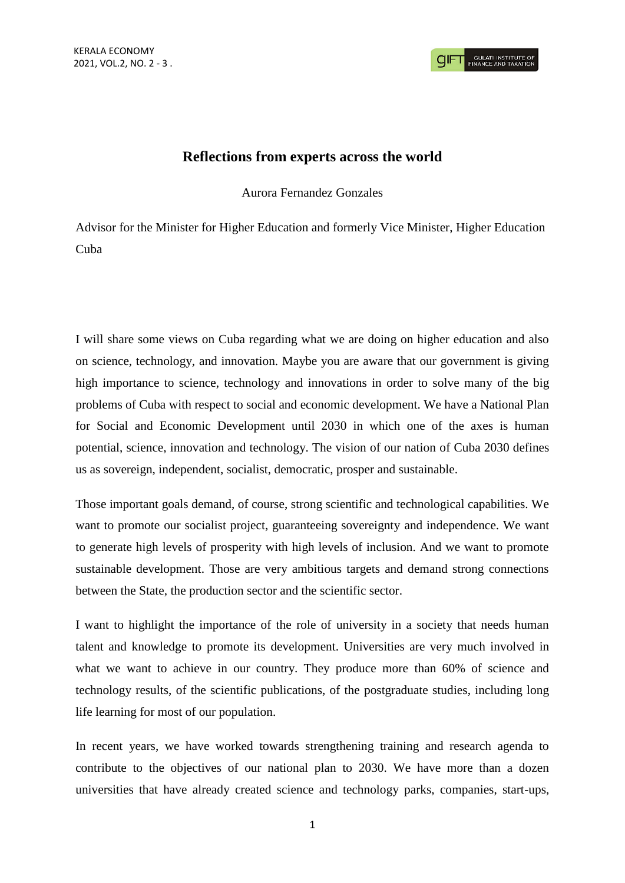## **Reflections from experts across the world**

Aurora Fernandez Gonzales

Advisor for the Minister for Higher Education and formerly Vice Minister, Higher Education Cuba

I will share some views on Cuba regarding what we are doing on higher education and also on science, technology, and innovation. Maybe you are aware that our government is giving high importance to science, technology and innovations in order to solve many of the big problems of Cuba with respect to social and economic development. We have a National Plan for Social and Economic Development until 2030 in which one of the axes is human potential, science, innovation and technology. The vision of our nation of Cuba 2030 defines us as sovereign, independent, socialist, democratic, prosper and sustainable.

Those important goals demand, of course, strong scientific and technological capabilities. We want to promote our socialist project, guaranteeing sovereignty and independence. We want to generate high levels of prosperity with high levels of inclusion. And we want to promote sustainable development. Those are very ambitious targets and demand strong connections between the State, the production sector and the scientific sector.

I want to highlight the importance of the role of university in a society that needs human talent and knowledge to promote its development. Universities are very much involved in what we want to achieve in our country. They produce more than 60% of science and technology results, of the scientific publications, of the postgraduate studies, including long life learning for most of our population.

In recent years, we have worked towards strengthening training and research agenda to contribute to the objectives of our national plan to 2030. We have more than a dozen universities that have already created science and technology parks, companies, start-ups,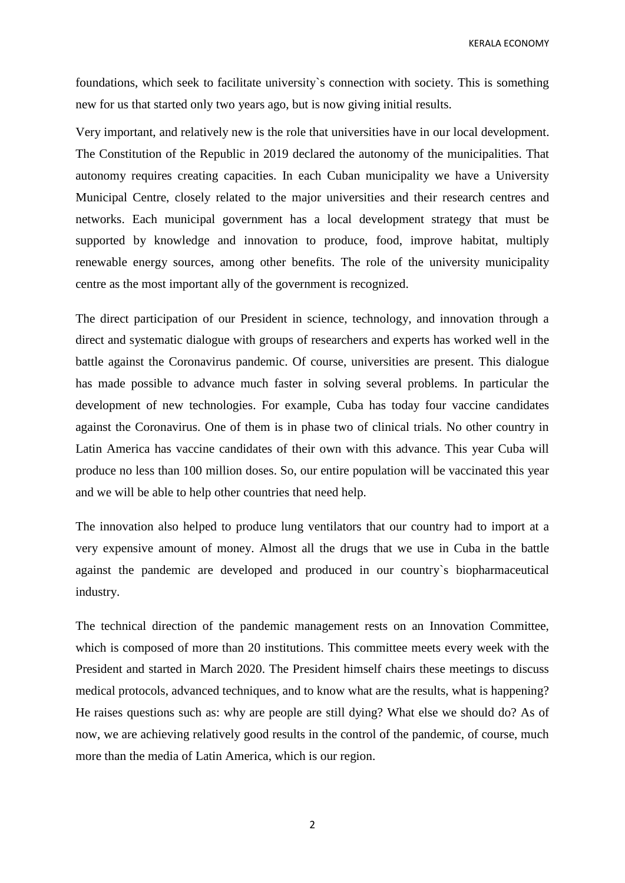KERALA ECONOMY

foundations, which seek to facilitate university`s connection with society. This is something new for us that started only two years ago, but is now giving initial results.

Very important, and relatively new is the role that universities have in our local development. The Constitution of the Republic in 2019 declared the autonomy of the municipalities. That autonomy requires creating capacities. In each Cuban municipality we have a University Municipal Centre, closely related to the major universities and their research centres and networks. Each municipal government has a local development strategy that must be supported by knowledge and innovation to produce, food, improve habitat, multiply renewable energy sources, among other benefits. The role of the university municipality centre as the most important ally of the government is recognized.

The direct participation of our President in science, technology, and innovation through a direct and systematic dialogue with groups of researchers and experts has worked well in the battle against the Coronavirus pandemic. Of course, universities are present. This dialogue has made possible to advance much faster in solving several problems. In particular the development of new technologies. For example, Cuba has today four vaccine candidates against the Coronavirus. One of them is in phase two of clinical trials. No other country in Latin America has vaccine candidates of their own with this advance. This year Cuba will produce no less than 100 million doses. So, our entire population will be vaccinated this year and we will be able to help other countries that need help.

The innovation also helped to produce lung ventilators that our country had to import at a very expensive amount of money. Almost all the drugs that we use in Cuba in the battle against the pandemic are developed and produced in our country`s biopharmaceutical industry.

The technical direction of the pandemic management rests on an Innovation Committee, which is composed of more than 20 institutions. This committee meets every week with the President and started in March 2020. The President himself chairs these meetings to discuss medical protocols, advanced techniques, and to know what are the results, what is happening? He raises questions such as: why are people are still dying? What else we should do? As of now, we are achieving relatively good results in the control of the pandemic, of course, much more than the media of Latin America, which is our region.